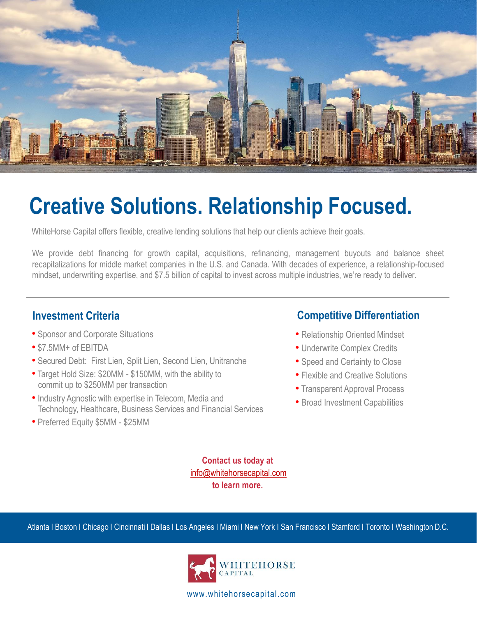

## **Creative Solutions. Relationship Focused.**

WhiteHorse Capital offers flexible, creative lending solutions that help our clients achieve their goals.

We provide debt financing for growth capital, acquisitions, refinancing, management buyouts and balance sheet recapitalizations for middle market companies in the U.S. and Canada. With decades of experience, a relationship-focused mindset, underwriting expertise, and \$7.5 billion of capital to invest across multiple industries, we're ready to deliver.

- Sponsor and Corporate Situations
- \$7.5MM+ of EBITDA
- Secured Debt: First Lien, Split Lien, Second Lien, Unitranche
- Target Hold Size: \$20MM \$150MM, with the ability to commit up to \$250MM per transaction
- Industry Agnostic with expertise in Telecom, Media and Technology, Healthcare, Business Services and Financial Services
- Preferred Equity \$5MM \$25MM

## **Investment Criteria COMPETE COMPETE COMPETE DIFferentiation**

- Relationship Oriented Mindset
- Underwrite Complex Credits
- Speed and Certainty to Close
- Flexible and Creative Solutions
- Transparent Approval Process
- Broad Investment Capabilities

**Contact us today at** [info@whitehorsecapital.com](mailto:info@whitehorsecapital.com) **to learn more.**

Atlanta I Boston I Chicago I Cincinnati l Dallas I Los Angeles I Miami I New York I San Francisco I Stamford I Toronto I Washington D.C.



www.whitehorsecapital.com